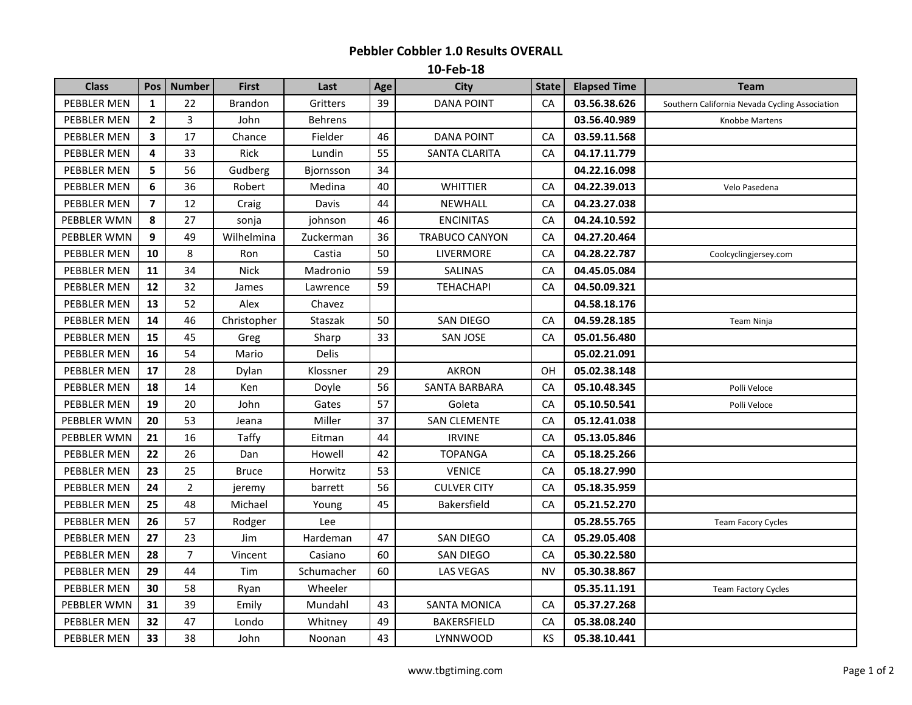## **Pebbler Cobbler 1.0 Results OVERALL**

**10-Feb-18**

| <b>Class</b> | Pos            | <b>Number</b>  | <b>First</b>   | Last           | Age | City                | <b>State</b> | <b>Elapsed Time</b> | <b>Team</b>                                    |
|--------------|----------------|----------------|----------------|----------------|-----|---------------------|--------------|---------------------|------------------------------------------------|
| PEBBLER MEN  | 1              | 22             | <b>Brandon</b> | Gritters       | 39  | <b>DANA POINT</b>   | CA           | 03.56.38.626        | Southern California Nevada Cycling Association |
| PEBBLER MEN  | $\overline{2}$ | 3              | John           | <b>Behrens</b> |     |                     |              | 03.56.40.989        | Knobbe Martens                                 |
| PEBBLER MEN  | 3              | 17             | Chance         | Fielder        | 46  | <b>DANA POINT</b>   | CA           | 03.59.11.568        |                                                |
| PEBBLER MEN  | 4              | 33             | <b>Rick</b>    | Lundin         | 55  | SANTA CLARITA       | CA           | 04.17.11.779        |                                                |
| PEBBLER MEN  | 5              | 56             | Gudberg        | Bjornsson      | 34  |                     |              | 04.22.16.098        |                                                |
| PEBBLER MEN  | $6\phantom{1}$ | 36             | Robert         | Medina         | 40  | <b>WHITTIER</b>     | CA           | 04.22.39.013        | Velo Pasedena                                  |
| PEBBLER MEN  | $\overline{7}$ | 12             | Craig          | Davis          | 44  | NEWHALL             | CA           | 04.23.27.038        |                                                |
| PEBBLER WMN  | 8              | 27             | sonja          | johnson        | 46  | <b>ENCINITAS</b>    | CA           | 04.24.10.592        |                                                |
| PEBBLER WMN  | 9              | 49             | Wilhelmina     | Zuckerman      | 36  | TRABUCO CANYON      | CA           | 04.27.20.464        |                                                |
| PEBBLER MEN  | 10             | 8              | Ron            | Castia         | 50  | LIVERMORE           | CA           | 04.28.22.787        | Coolcyclingjersey.com                          |
| PEBBLER MEN  | 11             | 34             | <b>Nick</b>    | Madronio       | 59  | SALINAS             | CA           | 04.45.05.084        |                                                |
| PEBBLER MEN  | 12             | 32             | James          | Lawrence       | 59  | <b>TEHACHAPI</b>    | CA           | 04.50.09.321        |                                                |
| PEBBLER MEN  | 13             | 52             | Alex           | Chavez         |     |                     |              | 04.58.18.176        |                                                |
| PEBBLER MEN  | 14             | 46             | Christopher    | Staszak        | 50  | SAN DIEGO           | CA           | 04.59.28.185        | Team Ninja                                     |
| PEBBLER MEN  | 15             | 45             | Greg           | Sharp          | 33  | <b>SAN JOSE</b>     | CA           | 05.01.56.480        |                                                |
| PEBBLER MEN  | 16             | 54             | Mario          | <b>Delis</b>   |     |                     |              | 05.02.21.091        |                                                |
| PEBBLER MEN  | 17             | 28             | Dylan          | Klossner       | 29  | <b>AKRON</b>        | <b>OH</b>    | 05.02.38.148        |                                                |
| PEBBLER MEN  | 18             | 14             | Ken            | Doyle          | 56  | SANTA BARBARA       | CA           | 05.10.48.345        | Polli Veloce                                   |
| PEBBLER MEN  | 19             | 20             | John           | Gates          | 57  | Goleta              | CA           | 05.10.50.541        | Polli Veloce                                   |
| PEBBLER WMN  | 20             | 53             | Jeana          | Miller         | 37  | <b>SAN CLEMENTE</b> | CA           | 05.12.41.038        |                                                |
| PEBBLER WMN  | 21             | 16             | <b>Taffy</b>   | Eitman         | 44  | <b>IRVINE</b>       | CA           | 05.13.05.846        |                                                |
| PEBBLER MEN  | 22             | 26             | Dan            | Howell         | 42  | <b>TOPANGA</b>      | CA           | 05.18.25.266        |                                                |
| PEBBLER MEN  | 23             | 25             | <b>Bruce</b>   | Horwitz        | 53  | <b>VENICE</b>       | CA           | 05.18.27.990        |                                                |
| PEBBLER MEN  | 24             | $\overline{2}$ | jeremy         | barrett        | 56  | <b>CULVER CITY</b>  | CA           | 05.18.35.959        |                                                |
| PEBBLER MEN  | 25             | 48             | Michael        | Young          | 45  | Bakersfield         | CA           | 05.21.52.270        |                                                |
| PEBBLER MEN  | 26             | 57             | Rodger         | Lee            |     |                     |              | 05.28.55.765        | Team Facory Cycles                             |
| PEBBLER MEN  | 27             | 23             | Jim            | Hardeman       | 47  | SAN DIEGO           | CA           | 05.29.05.408        |                                                |
| PEBBLER MEN  | 28             | $\overline{7}$ | Vincent        | Casiano        | 60  | SAN DIEGO           | CA           | 05.30.22.580        |                                                |
| PEBBLER MEN  | 29             | 44             | Tim            | Schumacher     | 60  | <b>LAS VEGAS</b>    | <b>NV</b>    | 05.30.38.867        |                                                |
| PEBBLER MEN  | 30             | 58             | Ryan           | Wheeler        |     |                     |              | 05.35.11.191        | <b>Team Factory Cycles</b>                     |
| PEBBLER WMN  | 31             | 39             | Emily          | Mundahl        | 43  | <b>SANTA MONICA</b> | CA           | 05.37.27.268        |                                                |
| PEBBLER MEN  | 32             | 47             | Londo          | Whitney        | 49  | BAKERSFIELD         | CA           | 05.38.08.240        |                                                |
| PEBBLER MEN  | 33             | 38             | John           | Noonan         | 43  | LYNNWOOD            | KS           | 05.38.10.441        |                                                |